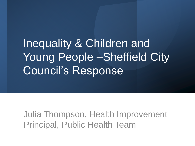Inequality & Children and Young People –Sheffield City Council's Response

Julia Thompson, Health Improvement Principal, Public Health Team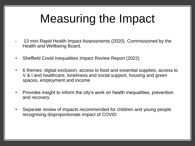## Measuring the Impact

- 13 mini Rapid Health Impact Assessments (2020). Commissioned by the Health and Wellbeing Board.
- Sheffield Covid Inequalities Impact Review Report (2022)
- 6 themes: digital exclusion, access to food and essential supplies, access to V & I and healthcare, loneliness and social support, housing and green spaces, employment and income
- Provides insight to inform the city's work on health inequalities, prevention and recovery
- Separate review of impacts recommended for children and young people recognising disproportionate impact of COVID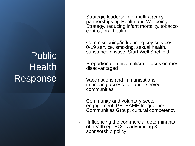## Public **Health** Response

- Strategic leadership of multi-agency partnerships eg Health and Wellbeing Strategy, reducing infant mortality, tobacco control, oral health
- Commissioning/influencing key services : 0-19 service, smoking, sexual health, substance misuse, Start Well Sheffield.
- Proportionate universalism focus on most disadvantaged
- Vaccinations and immunisations improving access for underserved communities
- Community and voluntary sector engagement, PH BAME Inequalities Communities Group, cultural competency
- Influencing the commercial determinants of health eg SCC's advertising & sponsorship policy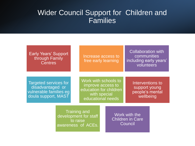## Wider Council Support for Children and Families

| <b>Early Years' Support</b><br>through Family<br><b>Centres</b>                            |                                                                                | Increase access to<br>free early learning                                                                |  |                                                                   | <b>Collaboration with</b><br>communities<br>including early years'<br>volunteers |  |
|--------------------------------------------------------------------------------------------|--------------------------------------------------------------------------------|----------------------------------------------------------------------------------------------------------|--|-------------------------------------------------------------------|----------------------------------------------------------------------------------|--|
| Targeted services for<br>disadvantaged or<br>vulnerable families eq<br>doula support, MAST |                                                                                | Work with schools to<br>improve access to<br>education for children<br>with special<br>educational needs |  | Interventions to<br>support young<br>people's mental<br>wellbeing |                                                                                  |  |
|                                                                                            | <b>Training and</b><br>development for staff<br>to raise<br>awareness of ACEs. |                                                                                                          |  | Work with the<br><b>Children in Care</b><br>Council               |                                                                                  |  |